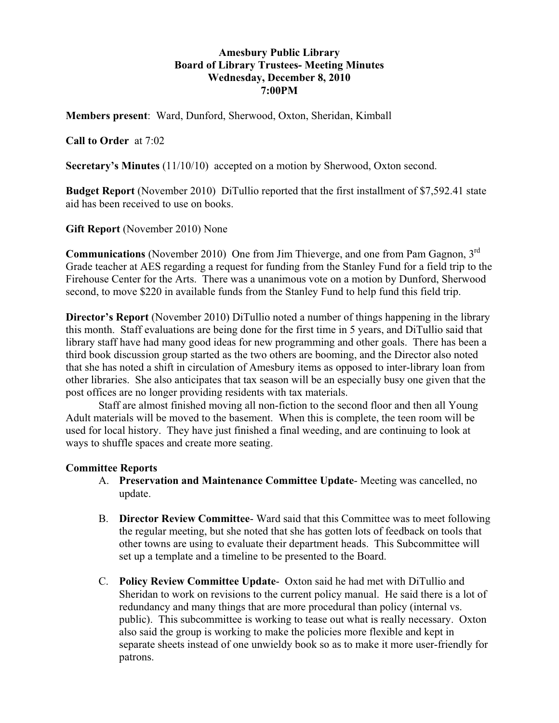# **Amesbury Public Library Board of Library Trustees- Meeting Minutes Wednesday, December 8, 2010 7:00PM**

**Members present**: Ward, Dunford, Sherwood, Oxton, Sheridan, Kimball

## **Call to Order** at 7:02

**Secretary's Minutes** (11/10/10) accepted on a motion by Sherwood, Oxton second.

**Budget Report** (November 2010) DiTullio reported that the first installment of \$7,592.41 state aid has been received to use on books.

**Gift Report** (November 2010) None

**Communications** (November 2010) One from Jim Thieverge, and one from Pam Gagnon, 3rd Grade teacher at AES regarding a request for funding from the Stanley Fund for a field trip to the Firehouse Center for the Arts. There was a unanimous vote on a motion by Dunford, Sherwood second, to move \$220 in available funds from the Stanley Fund to help fund this field trip.

**Director's Report** (November 2010) DiTullio noted a number of things happening in the library this month. Staff evaluations are being done for the first time in 5 years, and DiTullio said that library staff have had many good ideas for new programming and other goals. There has been a third book discussion group started as the two others are booming, and the Director also noted that she has noted a shift in circulation of Amesbury items as opposed to inter-library loan from other libraries. She also anticipates that tax season will be an especially busy one given that the post offices are no longer providing residents with tax materials.

 Staff are almost finished moving all non-fiction to the second floor and then all Young Adult materials will be moved to the basement. When this is complete, the teen room will be used for local history. They have just finished a final weeding, and are continuing to look at ways to shuffle spaces and create more seating.

### **Committee Reports**

- A. **Preservation and Maintenance Committee Update** Meeting was cancelled, no update.
- B. **Director Review Committee** Ward said that this Committee was to meet following the regular meeting, but she noted that she has gotten lots of feedback on tools that other towns are using to evaluate their department heads. This Subcommittee will set up a template and a timeline to be presented to the Board.
- C. **Policy Review Committee Update** Oxton said he had met with DiTullio and Sheridan to work on revisions to the current policy manual. He said there is a lot of redundancy and many things that are more procedural than policy (internal vs. public). This subcommittee is working to tease out what is really necessary. Oxton also said the group is working to make the policies more flexible and kept in separate sheets instead of one unwieldy book so as to make it more user-friendly for patrons.